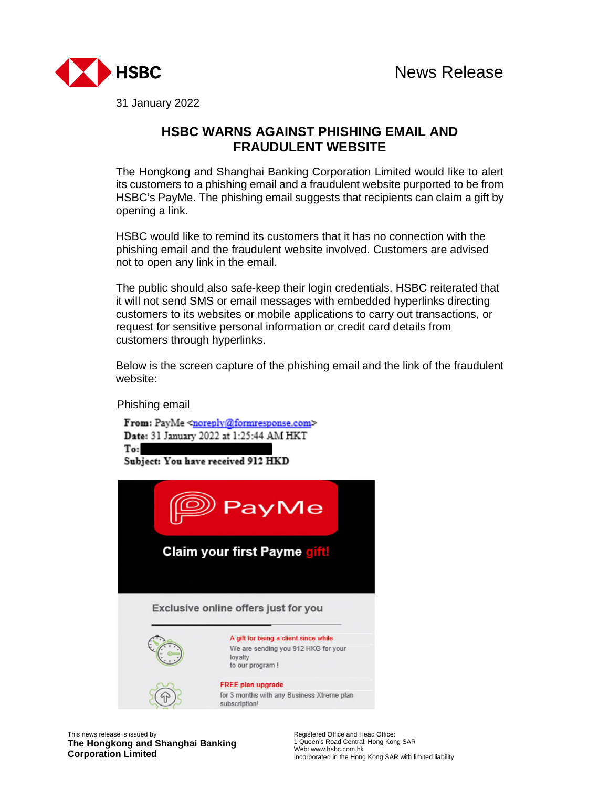

31 January 2022

## **HSBC WARNS AGAINST PHISHING EMAIL AND FRAUDULENT WEBSITE**

The Hongkong and Shanghai Banking Corporation Limited would like to alert its customers to a phishing email and a fraudulent website purported to be from HSBC's PayMe. The phishing email suggests that recipients can claim a gift by opening a link.

HSBC would like to remind its customers that it has no connection with the phishing email and the fraudulent website involved. Customers are advised not to open any link in the email.

The public should also safe-keep their login credentials. HSBC reiterated that it will not send SMS or email messages with embedded hyperlinks directing customers to its websites or mobile applications to carry out transactions, or request for sensitive personal information or credit card details from customers through hyperlinks.

Below is the screen capture of the phishing email and the link of the fraudulent website:

Phishing email



This news release is issued by **The Hongkong and Shanghai Banking Corporation Limited**

Registered Office and Head Office: 1 Queen's Road Central, Hong Kong SAR Web: www.hsbc.com.hk Incorporated in the Hong Kong SAR with limited liability